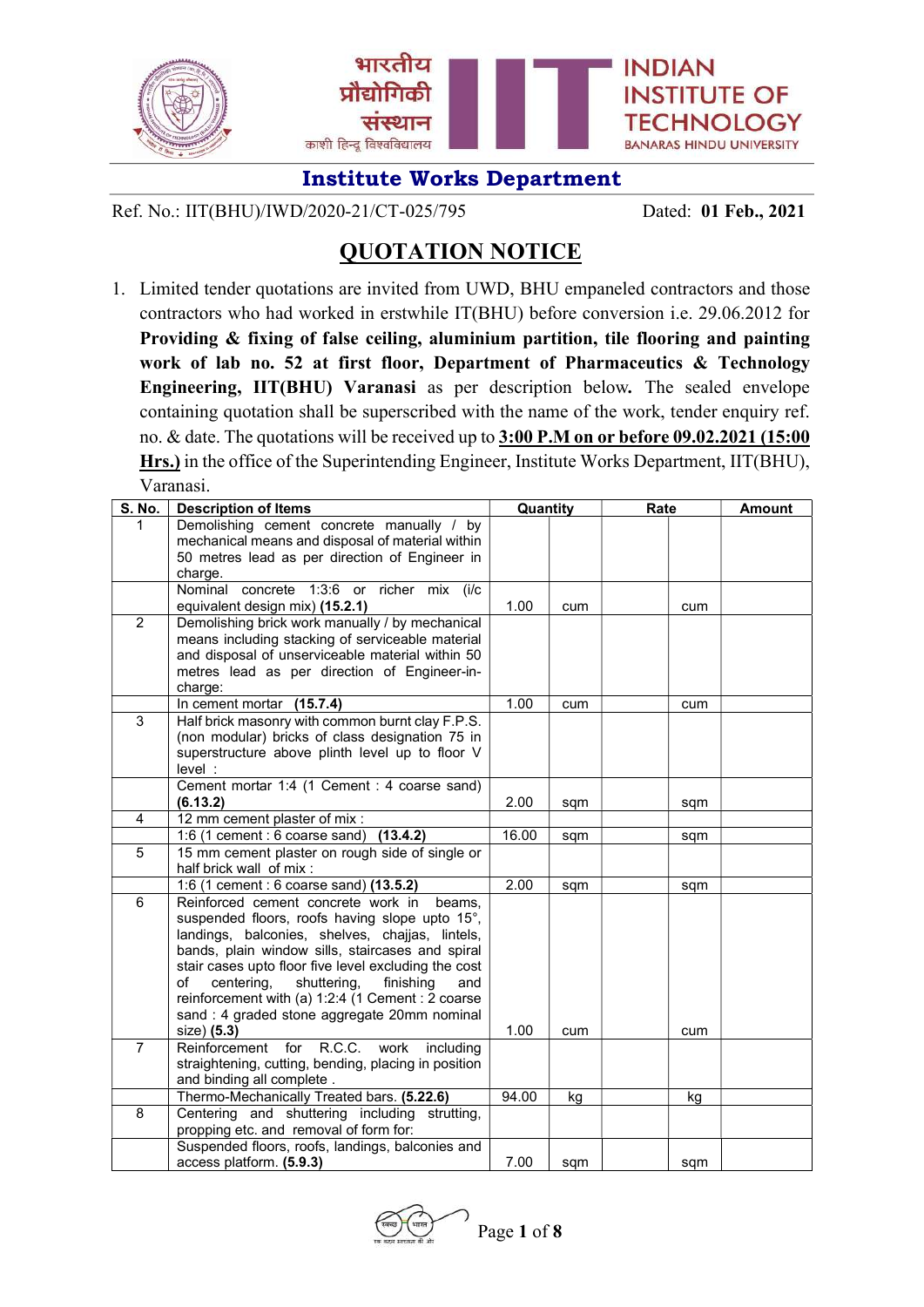

Ref. No.: IIT(BHU)/IWD/2020-21/CT-025/795 Dated: 01 Feb., 2021

# QUOTATION NOTICE

1. Limited tender quotations are invited from UWD, BHU empaneled contractors and those contractors who had worked in erstwhile IT(BHU) before conversion i.e. 29.06.2012 for Providing & fixing of false ceiling, aluminium partition, tile flooring and painting work of lab no. 52 at first floor, Department of Pharmaceutics & Technology Engineering, IIT(BHU) Varanasi as per description below. The sealed envelope containing quotation shall be superscribed with the name of the work, tender enquiry ref. no. & date. The quotations will be received up to 3:00 P.M on or before 09.02.2021 (15:00 Hrs.) in the office of the Superintending Engineer, Institute Works Department, IIT(BHU), Varanasi.

| S. No.         | <b>Description of Items</b>                                                                       | Quantity |     | Rate | <b>Amount</b> |
|----------------|---------------------------------------------------------------------------------------------------|----------|-----|------|---------------|
| 1              | Demolishing cement concrete manually / by                                                         |          |     |      |               |
|                | mechanical means and disposal of material within                                                  |          |     |      |               |
|                | 50 metres lead as per direction of Engineer in                                                    |          |     |      |               |
|                | charge.                                                                                           |          |     |      |               |
|                | Nominal concrete 1:3:6 or richer mix (i/c                                                         | 1.00     |     |      |               |
| $\overline{2}$ | equivalent design mix) (15.2.1)<br>Demolishing brick work manually / by mechanical                |          | cum | cum  |               |
|                | means including stacking of serviceable material                                                  |          |     |      |               |
|                | and disposal of unserviceable material within 50                                                  |          |     |      |               |
|                | metres lead as per direction of Engineer-in-                                                      |          |     |      |               |
|                | charge:                                                                                           |          |     |      |               |
|                | In cement mortar (15.7.4)                                                                         | 1.00     | cum | cum  |               |
| $\overline{3}$ | Half brick masonry with common burnt clay F.P.S.                                                  |          |     |      |               |
|                | (non modular) bricks of class designation 75 in                                                   |          |     |      |               |
|                | superstructure above plinth level up to floor V                                                   |          |     |      |               |
|                | level :                                                                                           |          |     |      |               |
|                | Cement mortar 1:4 (1 Cement : 4 coarse sand)                                                      |          |     |      |               |
|                | (6.13.2)                                                                                          | 2.00     | sqm | sqm  |               |
| 4              | 12 mm cement plaster of mix :                                                                     |          |     |      |               |
| 5              | 1:6 (1 cement : 6 coarse sand)<br>(13.4.2)                                                        | 16.00    | sqm | sqm  |               |
|                | 15 mm cement plaster on rough side of single or<br>half brick wall of mix:                        |          |     |      |               |
|                | 1:6 (1 cement : 6 coarse sand) (13.5.2)                                                           | 2.00     | sqm | sqm  |               |
| 6              | Reinforced cement concrete work in<br>beams.                                                      |          |     |      |               |
|                | suspended floors, roofs having slope upto 15°,                                                    |          |     |      |               |
|                | landings, balconies, shelves, chajjas, lintels,                                                   |          |     |      |               |
|                | bands, plain window sills, staircases and spiral                                                  |          |     |      |               |
|                | stair cases upto floor five level excluding the cost                                              |          |     |      |               |
|                | of<br>centering,<br>shuttering,<br>finishing<br>and                                               |          |     |      |               |
|                | reinforcement with (a) 1:2:4 (1 Cement : 2 coarse<br>sand : 4 graded stone aggregate 20mm nominal |          |     |      |               |
|                | size) (5.3)                                                                                       | 1.00     | cum | cum  |               |
| $\overline{7}$ | R.C.C.<br>for<br>Reinforcement<br>work<br>including                                               |          |     |      |               |
|                | straightening, cutting, bending, placing in position                                              |          |     |      |               |
|                | and binding all complete.                                                                         |          |     |      |               |
|                | Thermo-Mechanically Treated bars. (5.22.6)                                                        | 94.00    | kg  | kg   |               |
| 8              | Centering and shuttering including strutting,                                                     |          |     |      |               |
|                | propping etc. and removal of form for:                                                            |          |     |      |               |
|                | Suspended floors, roofs, landings, balconies and                                                  |          |     |      |               |
|                | access platform. (5.9.3)                                                                          | 7.00     | sqm | sqm  |               |

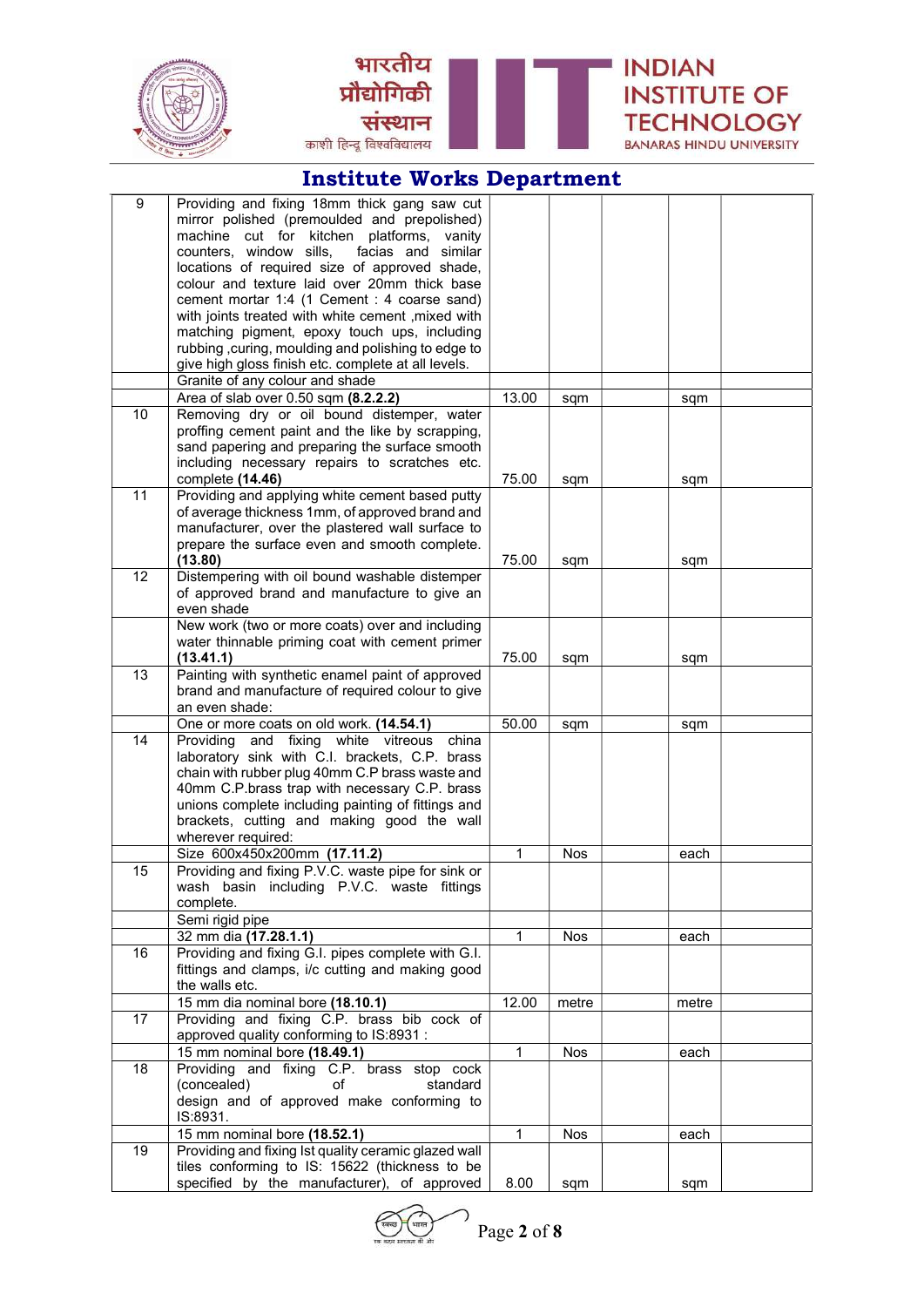



**INDIAN** 

**INSTITUTE OF** 

**TECHNOLOGY** 

BANARAS HINDU UNIVERSITY

भारतीय

संस्थान

प्रौद्योगिकी

काशी हिन्दू विश्वविद्यालय

| 9  | Providing and fixing 18mm thick gang saw cut                                                        |                |            |       |  |
|----|-----------------------------------------------------------------------------------------------------|----------------|------------|-------|--|
|    | mirror polished (premoulded and prepolished)                                                        |                |            |       |  |
|    | machine cut for kitchen platforms, vanity                                                           |                |            |       |  |
|    | counters, window sills,<br>facias and similar                                                       |                |            |       |  |
|    | locations of required size of approved shade,<br>colour and texture laid over 20mm thick base       |                |            |       |  |
|    | cement mortar 1:4 (1 Cement : 4 coarse sand)                                                        |                |            |       |  |
|    | with joints treated with white cement , mixed with                                                  |                |            |       |  |
|    | matching pigment, epoxy touch ups, including                                                        |                |            |       |  |
|    | rubbing, curing, moulding and polishing to edge to                                                  |                |            |       |  |
|    | give high gloss finish etc. complete at all levels.                                                 |                |            |       |  |
|    | Granite of any colour and shade                                                                     |                |            |       |  |
|    | Area of slab over 0.50 sqm (8.2.2.2)                                                                | 13.00          | sqm        | sqm   |  |
| 10 | Removing dry or oil bound distemper, water                                                          |                |            |       |  |
|    | proffing cement paint and the like by scrapping,                                                    |                |            |       |  |
|    | sand papering and preparing the surface smooth                                                      |                |            |       |  |
|    | including necessary repairs to scratches etc.                                                       |                |            |       |  |
|    | complete (14.46)                                                                                    | 75.00          | sqm        | sqm   |  |
| 11 | Providing and applying white cement based putty                                                     |                |            |       |  |
|    | of average thickness 1mm, of approved brand and<br>manufacturer, over the plastered wall surface to |                |            |       |  |
|    | prepare the surface even and smooth complete.                                                       |                |            |       |  |
|    | (13.80)                                                                                             | 75.00          | sqm        | sqm   |  |
| 12 | Distempering with oil bound washable distemper                                                      |                |            |       |  |
|    | of approved brand and manufacture to give an                                                        |                |            |       |  |
|    | even shade                                                                                          |                |            |       |  |
|    | New work (two or more coats) over and including                                                     |                |            |       |  |
|    | water thinnable priming coat with cement primer                                                     |                |            |       |  |
|    | (13.41.1)                                                                                           | 75.00          | sqm        | sqm   |  |
| 13 | Painting with synthetic enamel paint of approved                                                    |                |            |       |  |
|    | brand and manufacture of required colour to give                                                    |                |            |       |  |
|    | an even shade:                                                                                      |                |            |       |  |
|    | One or more coats on old work. (14.54.1)                                                            | 50.00          | sqm        | sqm   |  |
| 14 | Providing and fixing white vitreous<br>china                                                        |                |            |       |  |
|    | laboratory sink with C.I. brackets, C.P. brass<br>chain with rubber plug 40mm C.P brass waste and   |                |            |       |  |
|    | 40mm C.P.brass trap with necessary C.P. brass                                                       |                |            |       |  |
|    | unions complete including painting of fittings and                                                  |                |            |       |  |
|    | brackets, cutting and making good the wall                                                          |                |            |       |  |
|    | wherever required:                                                                                  |                |            |       |  |
|    | Size 600x450x200mm (17.11.2)                                                                        | $\mathbf{1}$   | <b>Nos</b> | each  |  |
| 15 | Providing and fixing P.V.C. waste pipe for sink or                                                  |                |            |       |  |
|    | wash basin including P.V.C. waste fittings                                                          |                |            |       |  |
|    | complete.                                                                                           |                |            |       |  |
|    | Semi rigid pipe                                                                                     |                |            |       |  |
|    | 32 mm dia (17.28.1.1)                                                                               | $\mathbf{1}$   | Nos        | each  |  |
| 16 | Providing and fixing G.I. pipes complete with G.I.                                                  |                |            |       |  |
|    | fittings and clamps, i/c cutting and making good                                                    |                |            |       |  |
|    | the walls etc.                                                                                      |                |            |       |  |
| 17 | 15 mm dia nominal bore (18.10.1)<br>Providing and fixing C.P. brass bib cock of                     | 12.00          | metre      | metre |  |
|    | approved quality conforming to IS:8931 :                                                            |                |            |       |  |
|    | 15 mm nominal bore (18.49.1)                                                                        | $\mathbf{1}$   | Nos        | each  |  |
| 18 | Providing and fixing C.P. brass stop cock                                                           |                |            |       |  |
|    | (concealed)<br>of<br>standard                                                                       |                |            |       |  |
|    | design and of approved make conforming to                                                           |                |            |       |  |
|    | IS:8931.                                                                                            |                |            |       |  |
|    | 15 mm nominal bore (18.52.1)                                                                        | $\overline{1}$ | Nos        | each  |  |
| 19 | Providing and fixing Ist quality ceramic glazed wall                                                |                |            |       |  |
|    | tiles conforming to IS: 15622 (thickness to be                                                      |                |            |       |  |
|    | specified by the manufacturer), of approved                                                         | 8.00           | sqm        | sqm   |  |

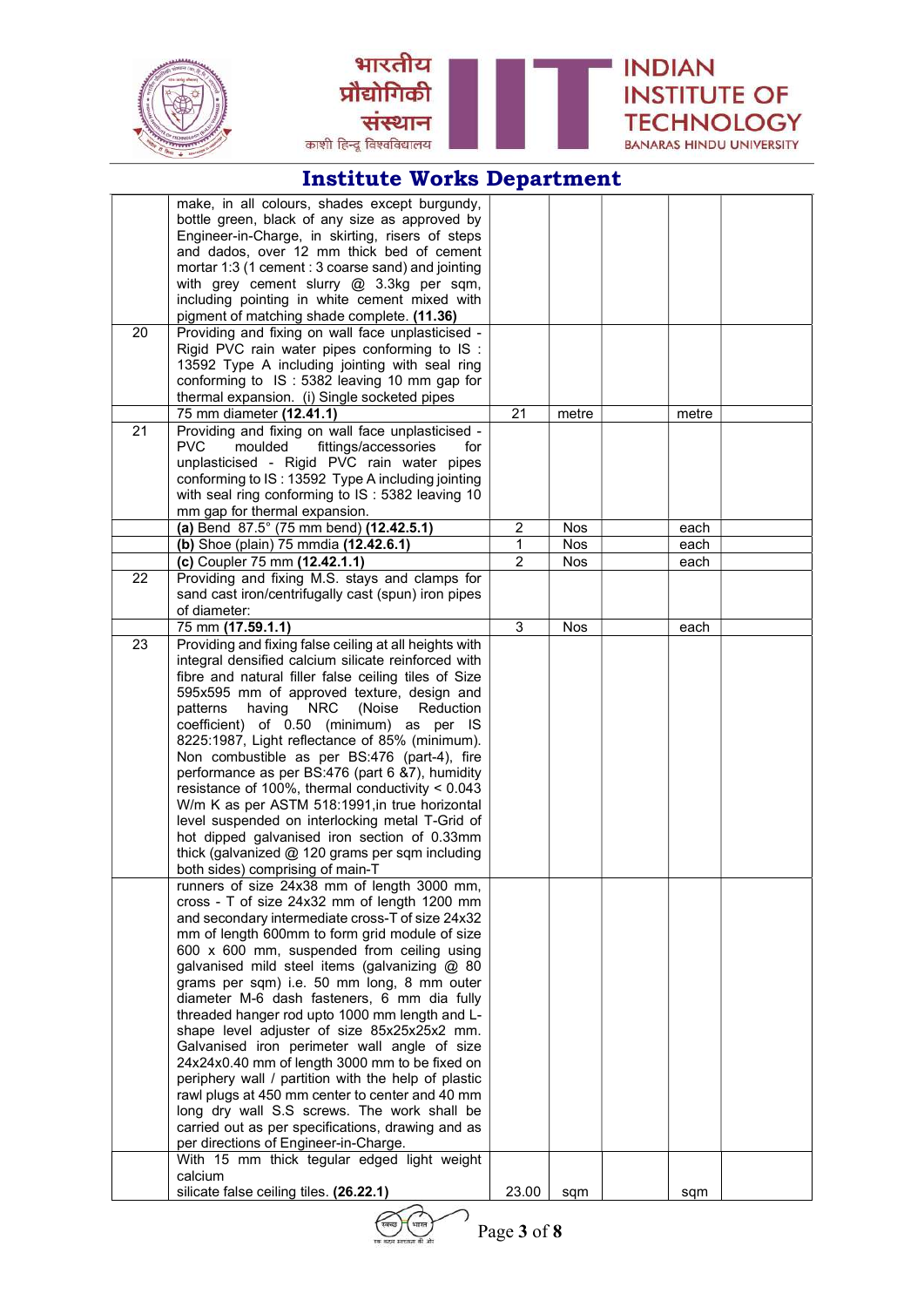



|    | make, in all colours, shades except burgundy,          |                         |            |       |  |
|----|--------------------------------------------------------|-------------------------|------------|-------|--|
|    | bottle green, black of any size as approved by         |                         |            |       |  |
|    | Engineer-in-Charge, in skirting, risers of steps       |                         |            |       |  |
|    | and dados, over 12 mm thick bed of cement              |                         |            |       |  |
|    | mortar 1:3 (1 cement : 3 coarse sand) and jointing     |                         |            |       |  |
|    | with grey cement slurry @ 3.3kg per sqm,               |                         |            |       |  |
|    | including pointing in white cement mixed with          |                         |            |       |  |
|    | pigment of matching shade complete. (11.36)            |                         |            |       |  |
| 20 | Providing and fixing on wall face unplasticised -      |                         |            |       |  |
|    | Rigid PVC rain water pipes conforming to IS :          |                         |            |       |  |
|    | 13592 Type A including jointing with seal ring         |                         |            |       |  |
|    | conforming to IS: 5382 leaving 10 mm gap for           |                         |            |       |  |
|    | thermal expansion. (i) Single socketed pipes           |                         |            |       |  |
|    | 75 mm diameter (12.41.1)                               | 21                      | metre      | metre |  |
| 21 | Providing and fixing on wall face unplasticised -      |                         |            |       |  |
|    | <b>PVC</b><br>moulded<br>fittings/accessories<br>for   |                         |            |       |  |
|    | unplasticised - Rigid PVC rain water pipes             |                         |            |       |  |
|    | conforming to IS: 13592 Type A including jointing      |                         |            |       |  |
|    | with seal ring conforming to IS: 5382 leaving 10       |                         |            |       |  |
|    | mm gap for thermal expansion.                          |                         |            |       |  |
|    | (a) Bend 87.5° (75 mm bend) (12.42.5.1)                | $\overline{\mathbf{c}}$ | <b>Nos</b> | each  |  |
|    | (b) Shoe (plain) 75 mmdia (12.42.6.1)                  | 1                       | Nos        | each  |  |
|    | (c) Coupler 75 mm (12.42.1.1)                          | $\overline{2}$          | Nos        | each  |  |
| 22 | Providing and fixing M.S. stays and clamps for         |                         |            |       |  |
|    | sand cast iron/centrifugally cast (spun) iron pipes    |                         |            |       |  |
|    | of diameter:                                           |                         |            |       |  |
|    | 75 mm (17.59.1.1)                                      | 3                       | Nos        | each  |  |
| 23 | Providing and fixing false ceiling at all heights with |                         |            |       |  |
|    | integral densified calcium silicate reinforced with    |                         |            |       |  |
|    | fibre and natural filler false ceiling tiles of Size   |                         |            |       |  |
|    | 595x595 mm of approved texture, design and             |                         |            |       |  |
|    | having NRC<br>(Noise<br>Reduction<br>patterns          |                         |            |       |  |
|    | coefficient) of 0.50 (minimum) as per IS               |                         |            |       |  |
|    | 8225:1987, Light reflectance of 85% (minimum).         |                         |            |       |  |
|    | Non combustible as per BS:476 (part-4), fire           |                         |            |       |  |
|    | performance as per BS:476 (part 6 &7), humidity        |                         |            |       |  |
|    | resistance of 100%, thermal conductivity < 0.043       |                         |            |       |  |
|    | W/m K as per ASTM 518:1991, in true horizontal         |                         |            |       |  |
|    | level suspended on interlocking metal T-Grid of        |                         |            |       |  |
|    | hot dipped galvanised iron section of 0.33mm           |                         |            |       |  |
|    | thick (galvanized @ 120 grams per sqm including        |                         |            |       |  |
|    | both sides) comprising of main-T                       |                         |            |       |  |
|    | runners of size 24x38 mm of length 3000 mm             |                         |            |       |  |
|    | cross - T of size 24x32 mm of length 1200 mm           |                         |            |       |  |
|    | and secondary intermediate cross-T of size 24x32       |                         |            |       |  |
|    | mm of length 600mm to form grid module of size         |                         |            |       |  |
|    | 600 x 600 mm, suspended from ceiling using             |                         |            |       |  |
|    | galvanised mild steel items (galvanizing @ 80          |                         |            |       |  |
|    | grams per sqm) i.e. 50 mm long, 8 mm outer             |                         |            |       |  |
|    | diameter M-6 dash fasteners, 6 mm dia fully            |                         |            |       |  |
|    | threaded hanger rod upto 1000 mm length and L-         |                         |            |       |  |
|    | shape level adjuster of size 85x25x25x2 mm.            |                         |            |       |  |
|    | Galvanised iron perimeter wall angle of size           |                         |            |       |  |
|    | 24x24x0.40 mm of length 3000 mm to be fixed on         |                         |            |       |  |
|    | periphery wall / partition with the help of plastic    |                         |            |       |  |
|    | rawl plugs at 450 mm center to center and 40 mm        |                         |            |       |  |
|    | long dry wall S.S screws. The work shall be            |                         |            |       |  |
|    | carried out as per specifications, drawing and as      |                         |            |       |  |
|    | per directions of Engineer-in-Charge.                  |                         |            |       |  |
|    | With 15 mm thick tegular edged light weight            |                         |            |       |  |
|    | calcium                                                |                         |            |       |  |
|    | silicate false ceiling tiles. (26.22.1)                | 23.00                   | sqm        | sqm   |  |



Page 3 of 8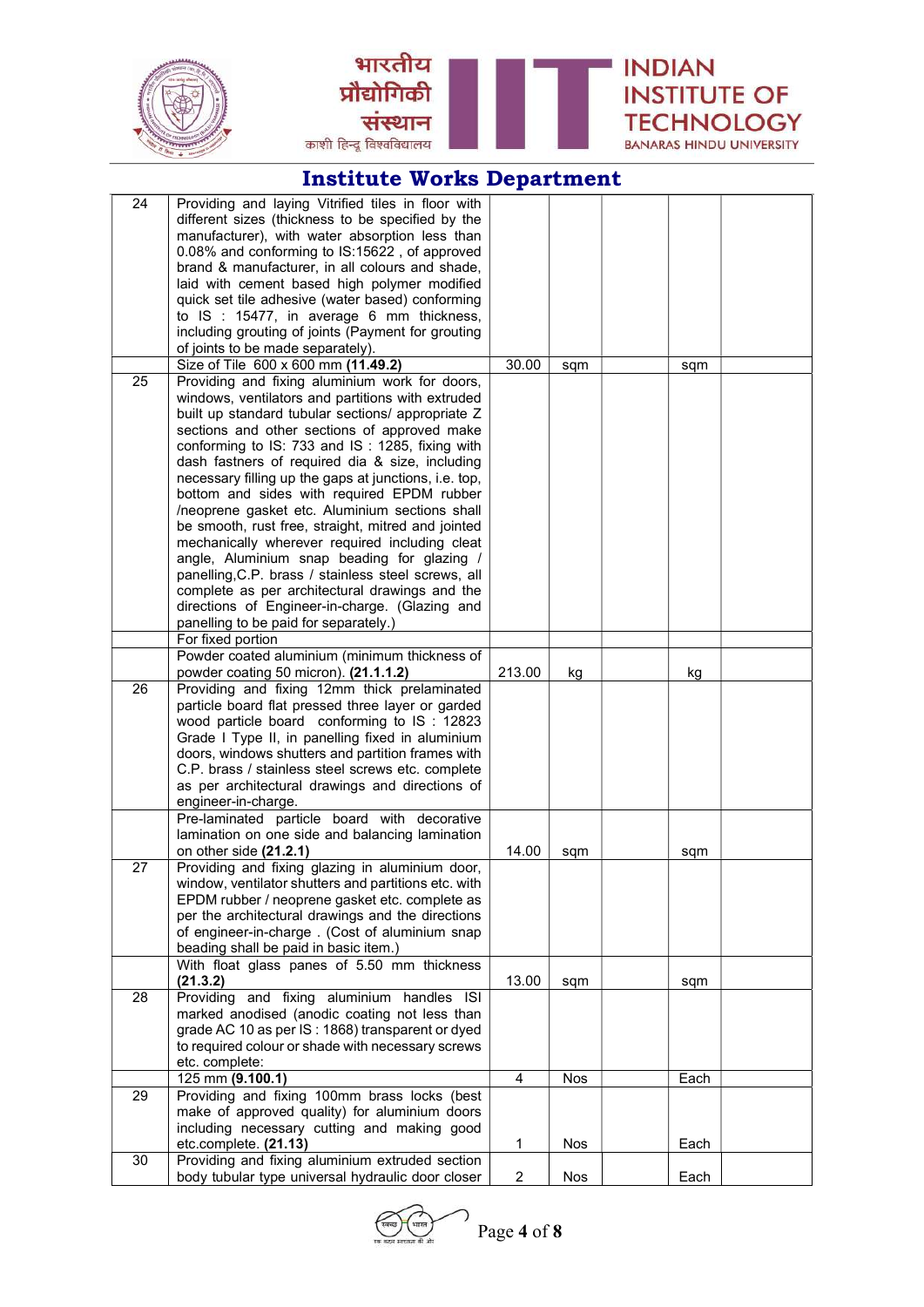



| 24 | Providing and laying Vitrified tiles in floor with    |                         |            |      |  |
|----|-------------------------------------------------------|-------------------------|------------|------|--|
|    | different sizes (thickness to be specified by the     |                         |            |      |  |
|    | manufacturer), with water absorption less than        |                         |            |      |  |
|    |                                                       |                         |            |      |  |
|    | 0.08% and conforming to IS:15622, of approved         |                         |            |      |  |
|    | brand & manufacturer, in all colours and shade,       |                         |            |      |  |
|    | laid with cement based high polymer modified          |                         |            |      |  |
|    | quick set tile adhesive (water based) conforming      |                         |            |      |  |
|    | to IS : 15477, in average 6 mm thickness,             |                         |            |      |  |
|    | including grouting of joints (Payment for grouting    |                         |            |      |  |
|    | of joints to be made separately).                     |                         |            |      |  |
|    | Size of Tile 600 x 600 mm (11.49.2)                   | 30.00                   | sqm        | sqm  |  |
| 25 | Providing and fixing aluminium work for doors,        |                         |            |      |  |
|    | windows, ventilators and partitions with extruded     |                         |            |      |  |
|    | built up standard tubular sections/ appropriate Z     |                         |            |      |  |
|    | sections and other sections of approved make          |                         |            |      |  |
|    | conforming to IS: 733 and IS: 1285, fixing with       |                         |            |      |  |
|    |                                                       |                         |            |      |  |
|    | dash fastners of required dia & size, including       |                         |            |      |  |
|    | necessary filling up the gaps at junctions, i.e. top, |                         |            |      |  |
|    | bottom and sides with required EPDM rubber            |                         |            |      |  |
|    | /neoprene gasket etc. Aluminium sections shall        |                         |            |      |  |
|    | be smooth, rust free, straight, mitred and jointed    |                         |            |      |  |
|    | mechanically wherever required including cleat        |                         |            |      |  |
|    | angle, Aluminium snap beading for glazing /           |                         |            |      |  |
|    | panelling, C.P. brass / stainless steel screws, all   |                         |            |      |  |
|    | complete as per architectural drawings and the        |                         |            |      |  |
|    | directions of Engineer-in-charge. (Glazing and        |                         |            |      |  |
|    | panelling to be paid for separately.)                 |                         |            |      |  |
|    | For fixed portion                                     |                         |            |      |  |
|    |                                                       |                         |            |      |  |
|    | Powder coated aluminium (minimum thickness of         |                         |            |      |  |
|    | powder coating 50 micron). (21.1.1.2)                 | 213.00                  | kg         | kg   |  |
| 26 | Providing and fixing 12mm thick prelaminated          |                         |            |      |  |
|    | particle board flat pressed three layer or garded     |                         |            |      |  |
|    | wood particle board conforming to IS: 12823           |                         |            |      |  |
|    | Grade I Type II, in panelling fixed in aluminium      |                         |            |      |  |
|    | doors, windows shutters and partition frames with     |                         |            |      |  |
|    | C.P. brass / stainless steel screws etc. complete     |                         |            |      |  |
|    | as per architectural drawings and directions of       |                         |            |      |  |
|    | engineer-in-charge.                                   |                         |            |      |  |
|    | Pre-laminated particle board with decorative          |                         |            |      |  |
|    | lamination on one side and balancing lamination       |                         |            |      |  |
|    | on other side (21.2.1)                                | 14.00                   |            |      |  |
|    |                                                       |                         | sqm        | sqm  |  |
| 27 | Providing and fixing glazing in aluminium door,       |                         |            |      |  |
|    | window, ventilator shutters and partitions etc. with  |                         |            |      |  |
|    | EPDM rubber / neoprene gasket etc. complete as        |                         |            |      |  |
|    | per the architectural drawings and the directions     |                         |            |      |  |
|    | of engineer-in-charge. (Cost of aluminium snap        |                         |            |      |  |
|    | beading shall be paid in basic item.)                 |                         |            |      |  |
|    | With float glass panes of 5.50 mm thickness           |                         |            |      |  |
|    | (21.3.2)                                              | 13.00                   | sqm        | sqm  |  |
| 28 | Providing and fixing aluminium handles ISI            |                         |            |      |  |
|    | marked anodised (anodic coating not less than         |                         |            |      |  |
|    | grade AC 10 as per IS : 1868) transparent or dyed     |                         |            |      |  |
|    | to required colour or shade with necessary screws     |                         |            |      |  |
|    | etc. complete:                                        |                         |            |      |  |
|    |                                                       | $\overline{\mathbf{4}}$ |            |      |  |
|    | 125 mm (9.100.1)                                      |                         | <b>Nos</b> | Each |  |
| 29 | Providing and fixing 100mm brass locks (best          |                         |            |      |  |
|    | make of approved quality) for aluminium doors         |                         |            |      |  |
|    | including necessary cutting and making good           |                         |            |      |  |
|    | etc.complete. (21.13)                                 | 1                       | <b>Nos</b> | Each |  |
| 30 | Providing and fixing aluminium extruded section       |                         |            |      |  |
|    | body tubular type universal hydraulic door closer     | $\overline{\mathbf{c}}$ | Nos        | Each |  |
|    |                                                       |                         |            |      |  |

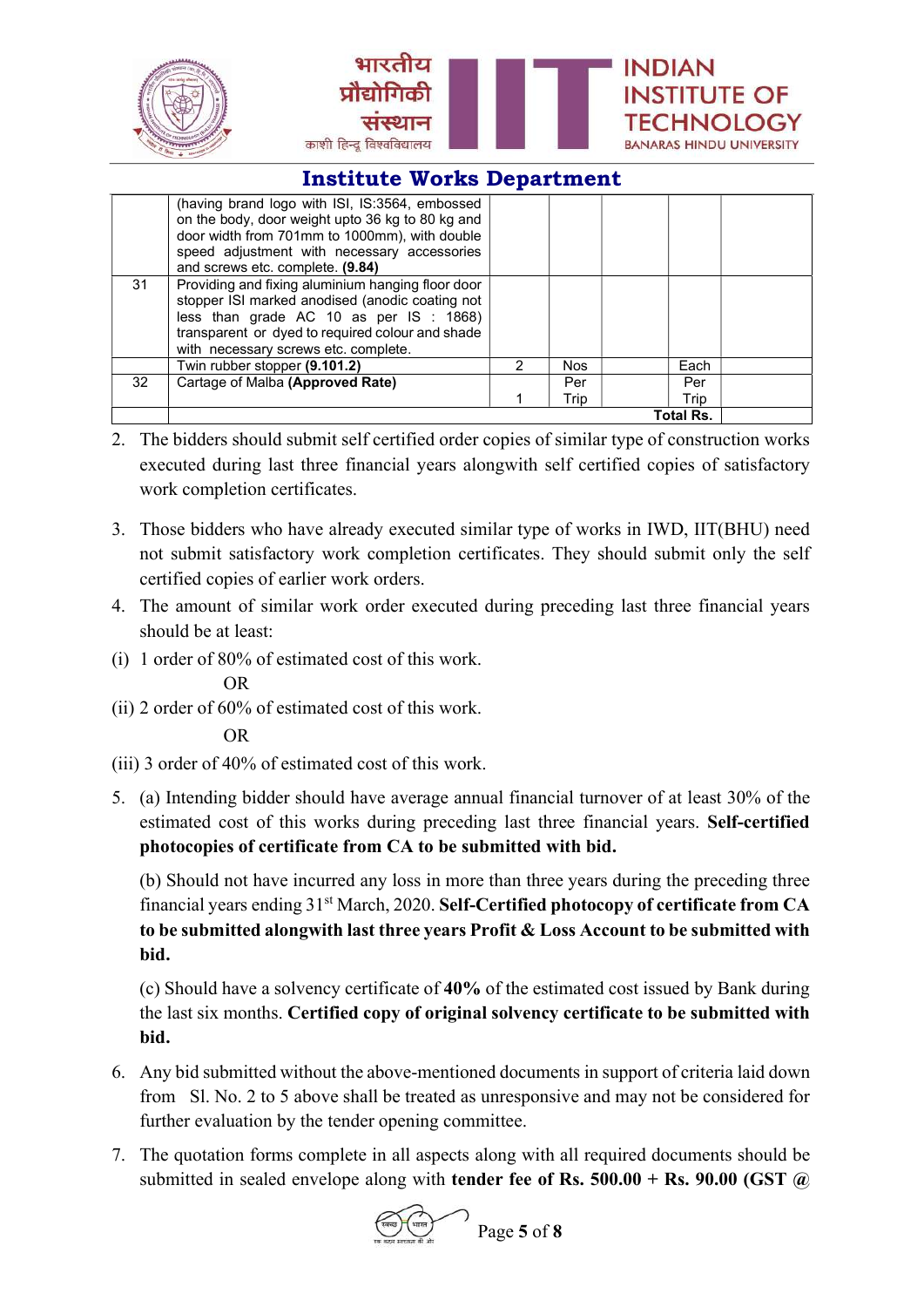

|    | (having brand logo with ISI, IS:3564, embossed<br>on the body, door weight upto 36 kg to 80 kg and<br>door width from 701mm to 1000mm), with double<br>speed adjustment with necessary accessories<br>and screws etc. complete. (9.84)      |   |            |                  |  |
|----|---------------------------------------------------------------------------------------------------------------------------------------------------------------------------------------------------------------------------------------------|---|------------|------------------|--|
| 31 | Providing and fixing aluminium hanging floor door<br>stopper ISI marked anodised (anodic coating not<br>less than grade AC 10 as per IS : 1868)<br>transparent or dyed to required colour and shade<br>with necessary screws etc. complete. |   |            |                  |  |
|    | Twin rubber stopper (9.101.2)                                                                                                                                                                                                               | 2 | <b>Nos</b> | Each             |  |
| 32 | Cartage of Malba (Approved Rate)                                                                                                                                                                                                            |   | Per        | Per              |  |
|    |                                                                                                                                                                                                                                             |   | Trip       | Trip             |  |
|    |                                                                                                                                                                                                                                             |   |            | <b>Total Rs.</b> |  |

- 2. The bidders should submit self certified order copies of similar type of construction works executed during last three financial years alongwith self certified copies of satisfactory work completion certificates.
- 3. Those bidders who have already executed similar type of works in IWD, IIT(BHU) need not submit satisfactory work completion certificates. They should submit only the self certified copies of earlier work orders.
- 4. The amount of similar work order executed during preceding last three financial years should be at least:
- (i) 1 order of 80% of estimated cost of this work.

OR

(ii) 2 order of 60% of estimated cost of this work.

OR

- (iii) 3 order of 40% of estimated cost of this work.
- 5. (a) Intending bidder should have average annual financial turnover of at least 30% of the estimated cost of this works during preceding last three financial years. Self-certified photocopies of certificate from CA to be submitted with bid.

 (b) Should not have incurred any loss in more than three years during the preceding three financial years ending 31st March, 2020. Self-Certified photocopy of certificate from CA to be submitted alongwith last three years Profit & Loss Account to be submitted with bid.

 (c) Should have a solvency certificate of 40% of the estimated cost issued by Bank during the last six months. Certified copy of original solvency certificate to be submitted with bid.

- 6. Any bid submitted without the above-mentioned documents in support of criteria laid down from Sl. No. 2 to 5 above shall be treated as unresponsive and may not be considered for further evaluation by the tender opening committee.
- 7. The quotation forms complete in all aspects along with all required documents should be submitted in sealed envelope along with **tender fee of Rs. 500.00 + Rs. 90.00 (GST**  $\omega$ )



Page 5 of 8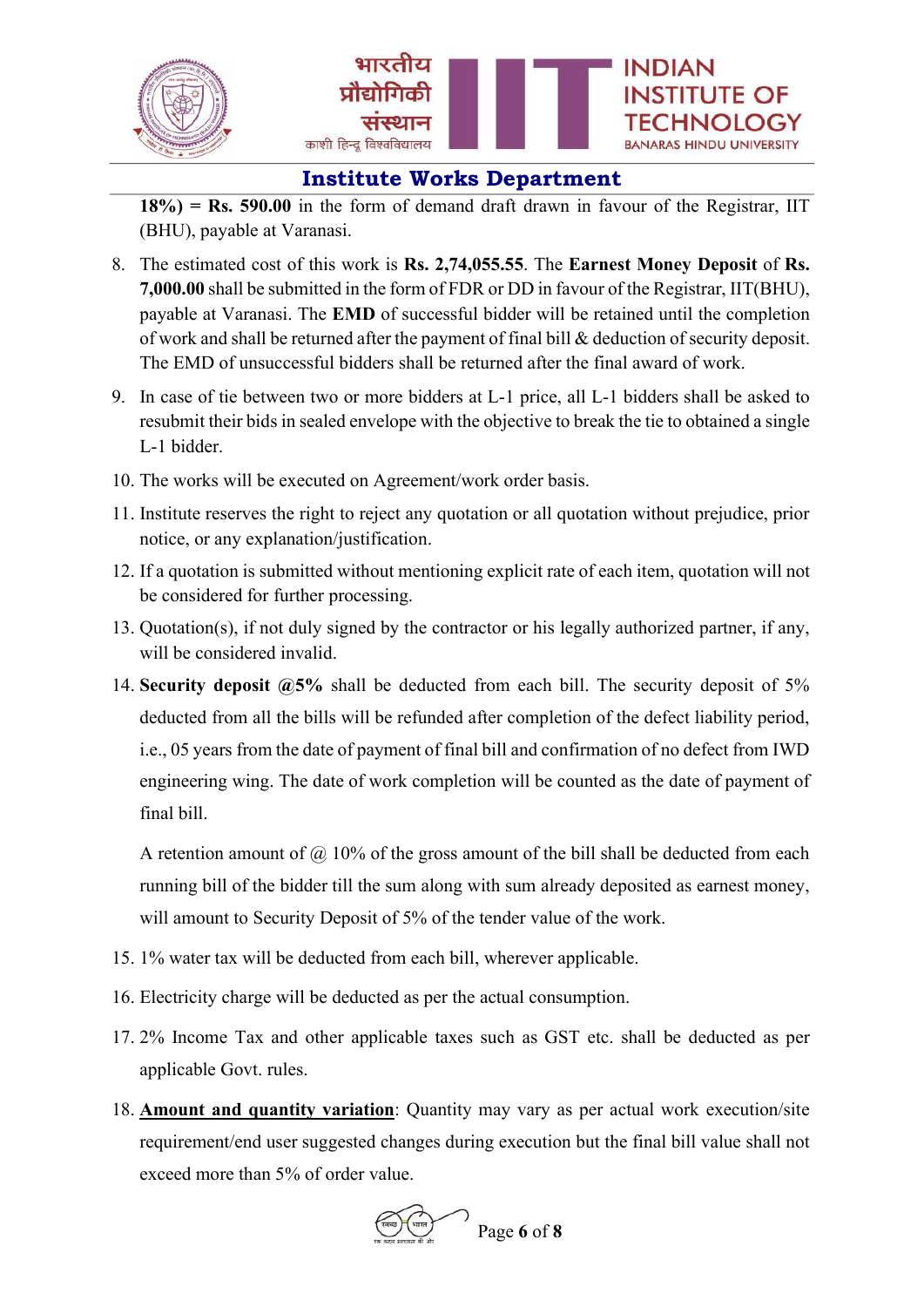



 $18\%$ ) = Rs. 590.00 in the form of demand draft drawn in favour of the Registrar, IIT (BHU), payable at Varanasi.

- 8. The estimated cost of this work is Rs. 2,74,055.55. The Earnest Money Deposit of Rs. 7,000.00 shall be submitted in the form of FDR or DD in favour of the Registrar, IIT(BHU), payable at Varanasi. The EMD of successful bidder will be retained until the completion of work and shall be returned after the payment of final bill & deduction of security deposit. The EMD of unsuccessful bidders shall be returned after the final award of work.
- 9. In case of tie between two or more bidders at L-1 price, all L-1 bidders shall be asked to resubmit their bids in sealed envelope with the objective to break the tie to obtained a single L-1 bidder.
- 10. The works will be executed on Agreement/work order basis.
- 11. Institute reserves the right to reject any quotation or all quotation without prejudice, prior notice, or any explanation/justification.
- 12. If a quotation is submitted without mentioning explicit rate of each item, quotation will not be considered for further processing.
- 13. Quotation(s), if not duly signed by the contractor or his legally authorized partner, if any, will be considered invalid.
- 14. Security deposit @5% shall be deducted from each bill. The security deposit of 5% deducted from all the bills will be refunded after completion of the defect liability period, i.e., 05 years from the date of payment of final bill and confirmation of no defect from IWD engineering wing. The date of work completion will be counted as the date of payment of final bill.

A retention amount of  $\omega$  10% of the gross amount of the bill shall be deducted from each running bill of the bidder till the sum along with sum already deposited as earnest money, will amount to Security Deposit of 5% of the tender value of the work.

- 15. 1% water tax will be deducted from each bill, wherever applicable.
- 16. Electricity charge will be deducted as per the actual consumption.
- 17. 2% Income Tax and other applicable taxes such as GST etc. shall be deducted as per applicable Govt. rules.
- 18. **Amount and quantity variation**: Quantity may vary as per actual work execution/site requirement/end user suggested changes during execution but the final bill value shall not exceed more than 5% of order value.

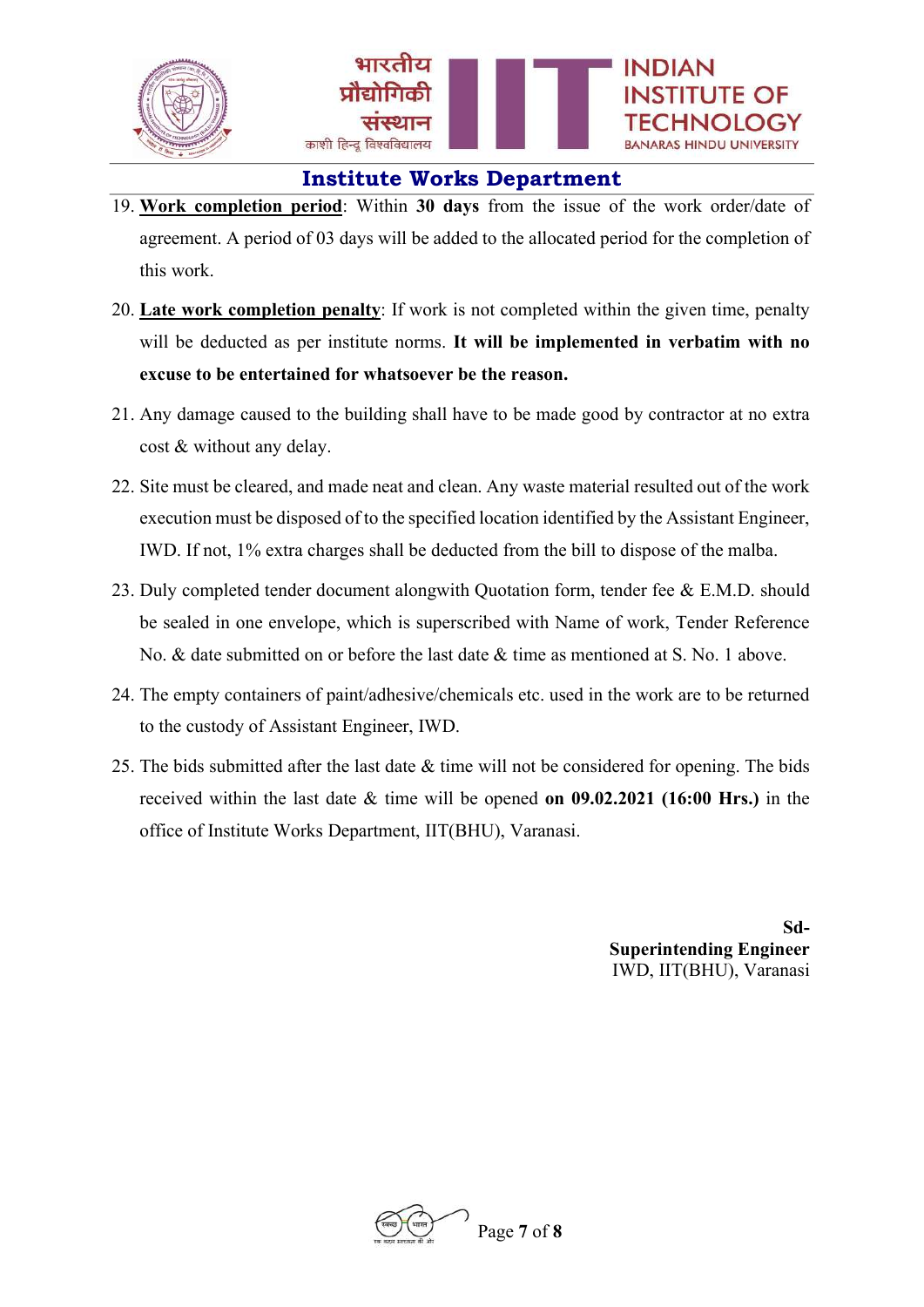

- 19. Work completion period: Within 30 days from the issue of the work order/date of agreement. A period of 03 days will be added to the allocated period for the completion of this work.
- 20. Late work completion penalty: If work is not completed within the given time, penalty will be deducted as per institute norms. It will be implemented in verbatim with no excuse to be entertained for whatsoever be the reason.
- 21. Any damage caused to the building shall have to be made good by contractor at no extra cost & without any delay.
- 22. Site must be cleared, and made neat and clean. Any waste material resulted out of the work execution must be disposed of to the specified location identified by the Assistant Engineer, IWD. If not, 1% extra charges shall be deducted from the bill to dispose of the malba.
- 23. Duly completed tender document alongwith Quotation form, tender fee & E.M.D. should be sealed in one envelope, which is superscribed with Name of work, Tender Reference No. & date submitted on or before the last date & time as mentioned at S. No. 1 above.
- 24. The empty containers of paint/adhesive/chemicals etc. used in the work are to be returned to the custody of Assistant Engineer, IWD.
- 25. The bids submitted after the last date & time will not be considered for opening. The bids received within the last date & time will be opened on 09.02.2021 (16:00 Hrs.) in the office of Institute Works Department, IIT(BHU), Varanasi.

Sd-Superintending Engineer IWD, IIT(BHU), Varanasi